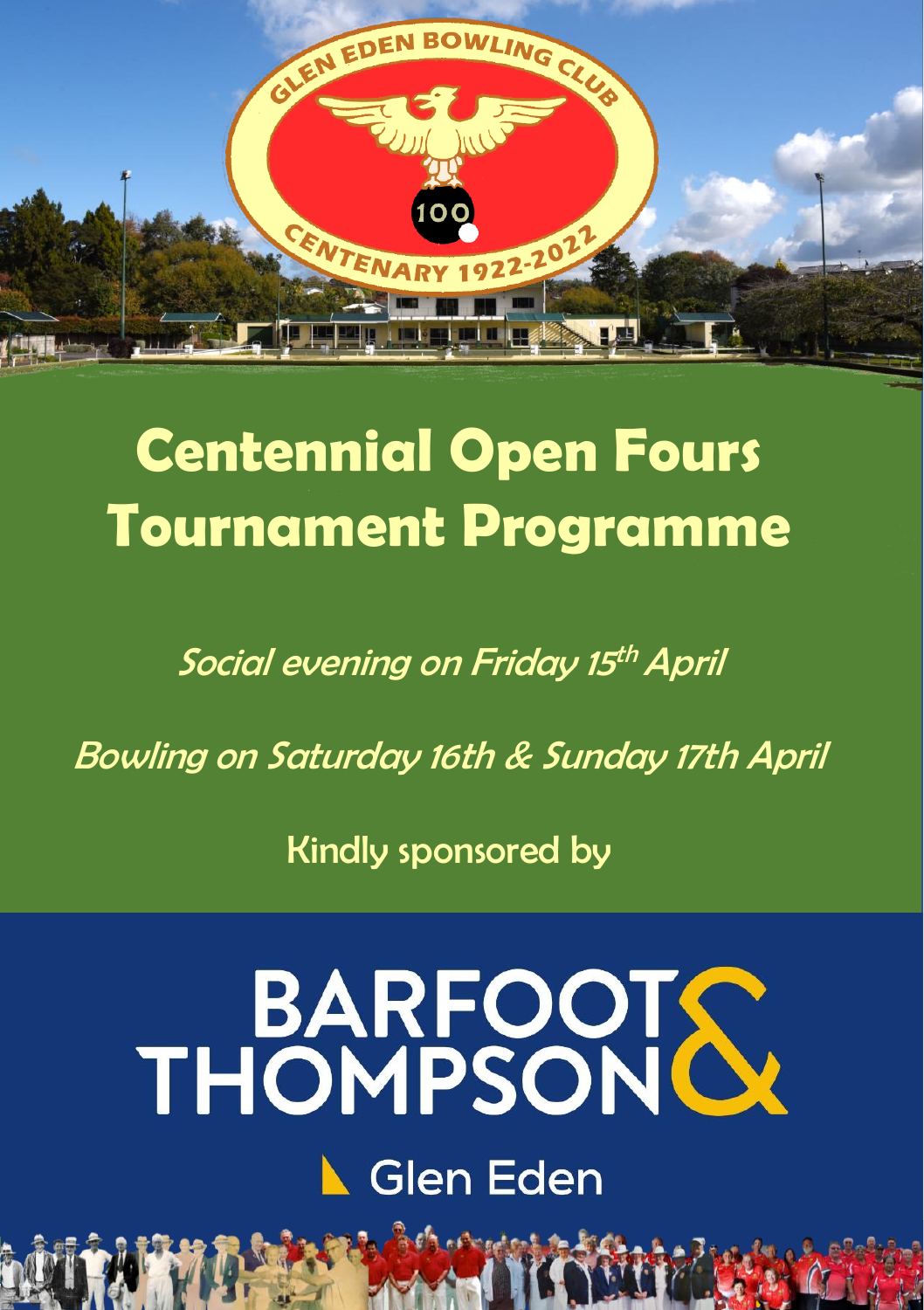

## **Centennial Open Fours Tournament Programme**

Social evening on Friday 15<sup>th</sup> April

Bowling on Saturday 16th & Sunday 17th April

Kindly sponsored by

# **BARFOOTS Glen Eden**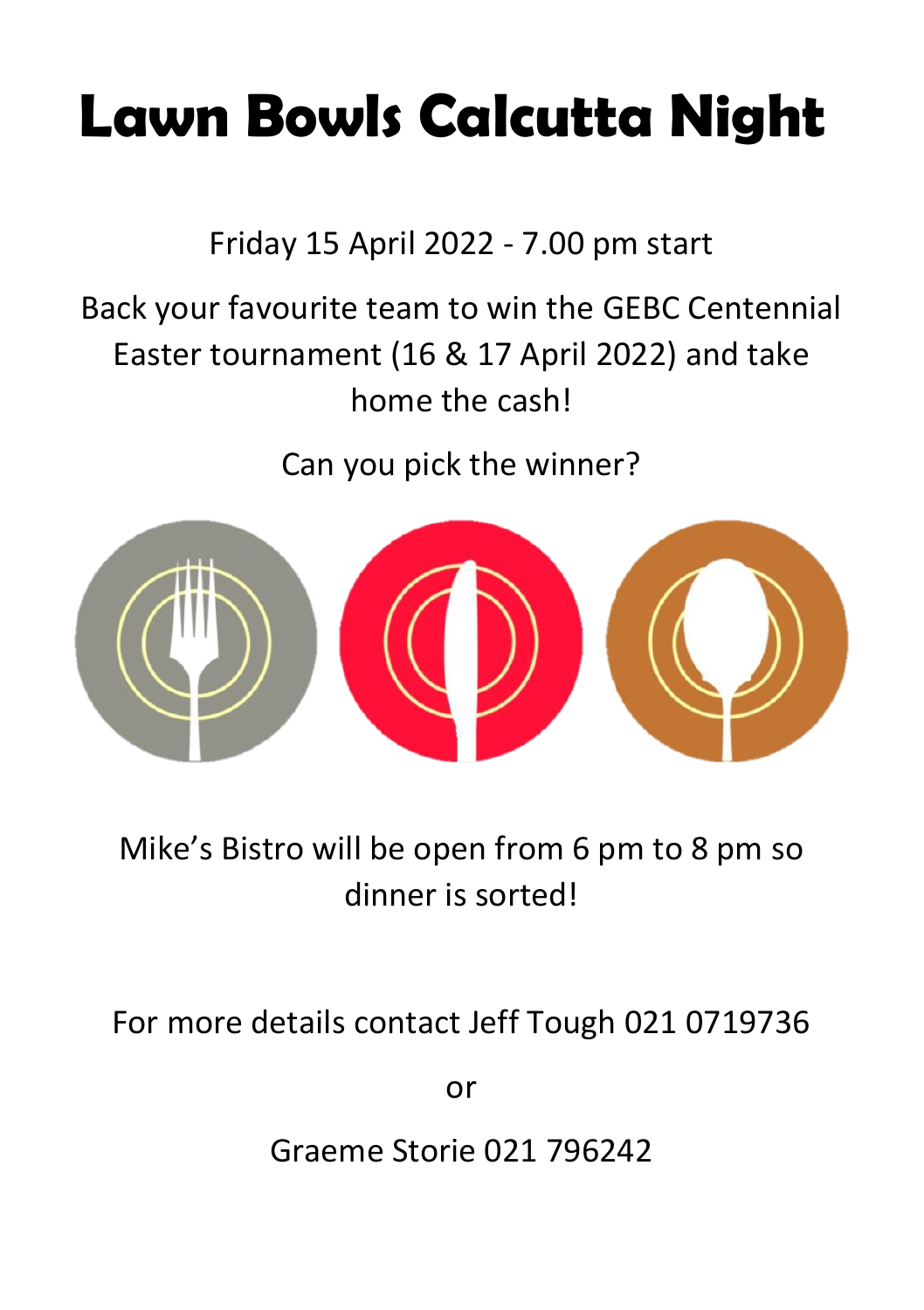# **Lawn Bowls Calcutta Night**

Friday 15 April 2022 - 7.00 pm start

### Back your favourite team to win the GEBC Centennial Easter tournament (16 & 17 April 2022) and take home the cash!

Can you pick the winner?



### Mike's Bistro will be open from 6 pm to 8 pm so dinner is sorted!

For more details contact Jeff Tough 021 0719736

or

Graeme Storie 021 796242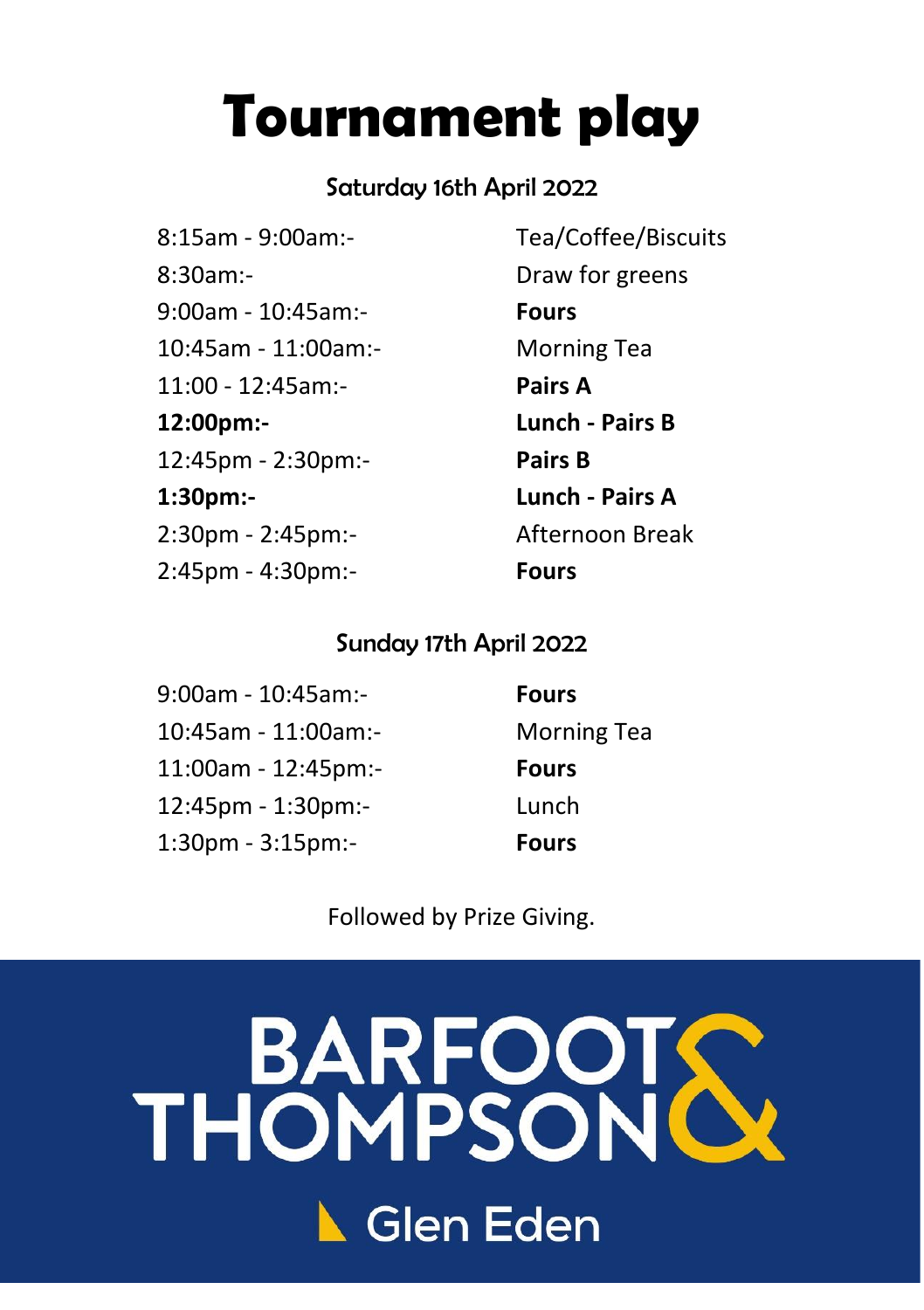## **Tournament play**

#### Saturday 16th April 2022

8:15am - 9:00am:- Tea/Coffee/Biscuits 8:30am:- Draw for greens 9:00am - 10:45am:- **Fours** 10:45am - 11:00am:- Morning Tea 11:00 - 12:45am:- **Pairs A 12:00pm:- Lunch - Pairs B** 12:45pm - 2:30pm:- **Pairs B 1:30pm:- Lunch - Pairs A** 2:30pm - 2:45pm:- Afternoon Break 2:45pm - 4:30pm:- **Fours**

#### Sunday 17th April 2022

9:00am - 10:45am:- **Fours** 10:45am - 11:00am:- Morning Tea 11:00am - 12:45pm:- **Fours** 12:45pm - 1:30pm:- Lunch 1:30pm - 3:15pm:- **Fours**

Followed by Prize Giving.